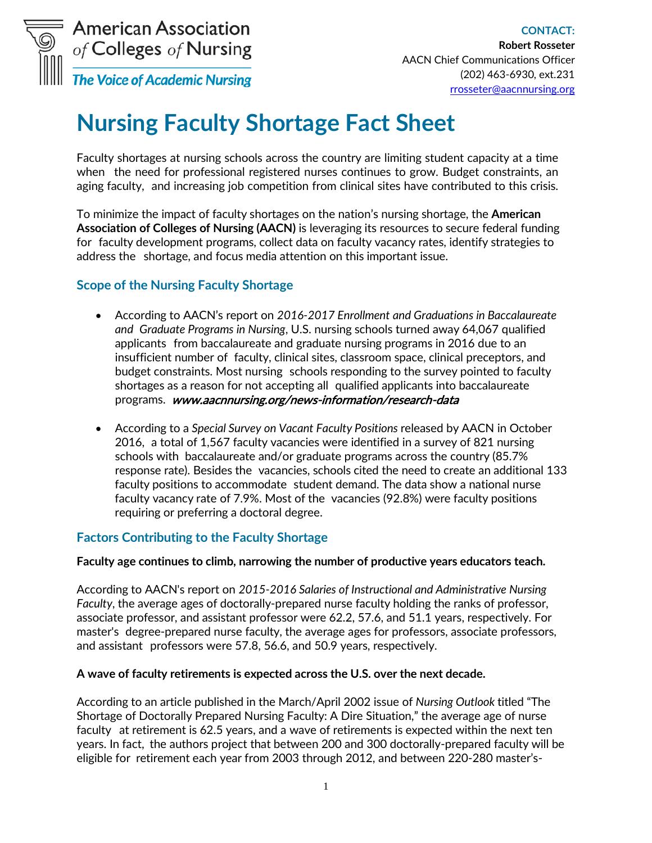

# **Nursing Faculty Shortage Fact Sheet**

Faculty shortages at nursing schools across the country are limiting student capacity at a time when the need for professional registered nurses continues to grow. Budget constraints, an aging faculty, and increasing job competition from clinical sites have contributed to this crisis.

To minimize the impact of faculty shortages on the nation's nursing shortage, the **American Association of Colleges of Nursing (AACN)** is leveraging its resources to secure federal funding for faculty development programs, collect data on faculty vacancy rates, identify strategies to address the shortage, and focus media attention on this important issue.

## **Scope of the Nursing Faculty Shortage**

- According to AACN's report on *2016-2017 Enrollment and Graduations in Baccalaureate and Graduate Programs in Nursing*, U.S. nursing schools turned away 64,067 qualified applicants from baccalaureate and graduate nursing programs in 2016 due to an insufficient number of faculty, clinical sites, classroom space, clinical preceptors, and budget constraints. Most nursing schools responding to the survey pointed to faculty shortages as a reason for not accepting all qualified applicants into baccalaureate programs. www.aacnnursing.org/news-information/research-data
- According to a *Special Survey on Vacant Faculty [Positions](http://www.aacn.nche.edu/IDS/index.htm)* released by AACN in October 2016, a total of 1,567 faculty vacancies were identified in a survey of 821 nursing schools with baccalaureate and/or graduate programs across the country (85.7% response rate). Besides the vacancies, schools cited the need to create an additional 133 faculty positions to accommodate student demand. The data show a national nurse faculty vacancy rate of 7.9%. Most of the vacancies (92.8%) were faculty positions requiring or preferring a doctoral degree.

## **Factors Contributing to the Faculty Shortage**

#### **Faculty age continues to climb, narrowing the number of productive years educators teach.**

According to AACN's report on *2015-2016 [Salaries of Instructional](http://www.aacn.nche.edu/IDS/index.htm) and Administrative Nursing [Faculty](http://www.aacn.nche.edu/IDS/index.htm)*, the average ages of doctorally-prepared nurse faculty holding the ranks of professor, associate professor, and assistant professor were 62.2, 57.6, and 51.1 years, respectively. For master's degree-prepared nurse faculty, the average ages for professors, associate professors, and assistant professors were 57.8, 56.6, and 50.9 years, respectively.

#### **A wave of faculty retirements is expected across the U.S. over the next decade.**

According to an article published in the March/April 2002 issue of *Nursing Outlook* titled "The Shortage of Doctorally Prepared Nursing Faculty: A Dire Situation," the average age of nurse faculty at retirement is 62.5 years, and a wave of retirements is expected within the next ten years. In fact, the authors project that between 200 and 300 doctorally-prepared faculty will be eligible for retirement each year from 2003 through 2012, and between 220-280 master's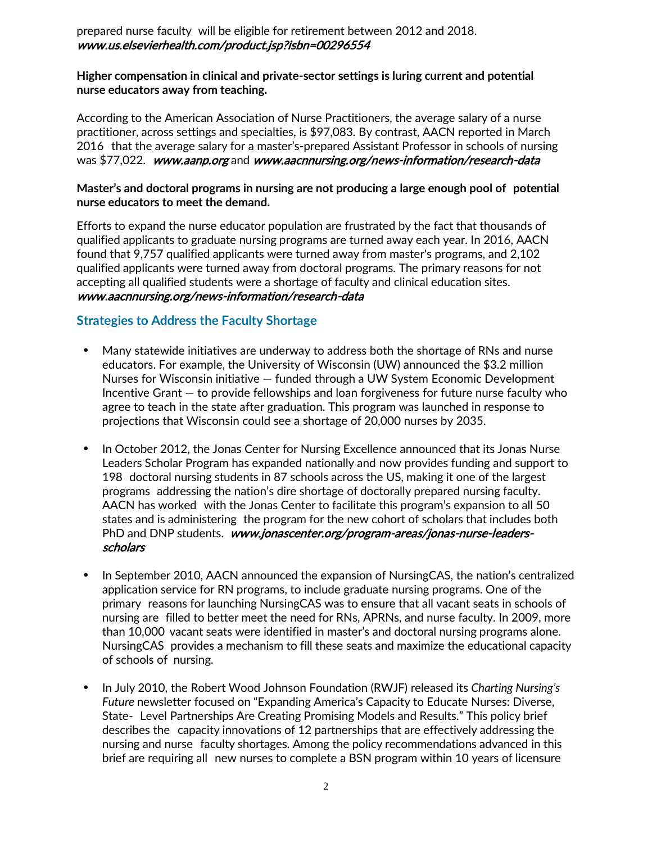prepared nurse faculty will be eligible for retirement between 2012 and 2018. [www.us.elsevierhealth.com/product.jsp?isbn=00296554](http://www.us.elsevierhealth.com/product.jsp?isbn=00296554) 

#### **Higher compensation in clinical and private-sector settings is luring current and potential nurse educators away from teaching.**

According to the American Association of Nurse [Practitioners,](http://nurse-practitioners.advanceweb.com/) the average salary of a nurse practitioner, across settings and specialties, is \$97,083. By contrast, [AACN](http://www.aacn.nche.edu/IDS) reported in March 2016 that the average salary for a master's-prepared Assistant Professor in schools of nursing was \$77,022. [www.aanp.org](http://www.aanp.org/) and www.aacnnursing.org/news-information/research-data

#### **Master's and doctoral programs in nursing are not producing a large enough pool of potential nurse educators to meet the demand.**

Efforts to expand the nurse educator population are frustrated by the fact that thousands of qualified applicants to graduate nursing programs are turned away each year. In 2016, AACN found that 9,757 qualified applicants were turned away from master's programs, and 2,102 qualified applicants were turned away from doctoral programs. The primary reasons for not accepting all qualified students were a shortage of faculty and clinical education sites. [www.aacnnursing.org/news-information/research-data](http://www.aacnnursing.org/news-information/research-data)

## **Strategies to Address the Faculty Shortage**

- Many statewide initiatives are underway to address both the shortage of RNs and nurse educators. For example, the University of Wisconsin (UW) announced the \$3.2 million Nurses for Wisconsin initiative — funded through a UW System Economic Development Incentive Grant — to provide fellowships and loan forgiveness for future nurse faculty who agree to teach in the state after graduation. This program was launched in response to projections that Wisconsin could see a shortage of 20,000 nurses by 2035.
- In October 2012, the Jonas Center for Nursing Excellence announced that its Jonas Nurse Leaders Scholar Program has expanded nationally and now provides funding and support to 198 doctoral nursing students in 87 schools across the US, making it one of the largest programs addressing the nation's dire shortage of doctorally prepared nursing faculty. AACN has worked with the Jonas Center to facilitate this program's expansion to all 50 states and is administering the program for the new cohort of scholars that includes both PhD and DNP students. [www.jonascenter.org/program-areas/jonas-nurse-leaders](http://www.jonascenter.org/program-areas/jonas-nurse-leaders-scholars)[scholars](http://www.jonascenter.org/program-areas/jonas-nurse-leaders-scholars)
- In September 2010, AACN announced the expansion of NursingCAS, the nation's centralized application service for RN programs, to include graduate nursing programs. One of the primary reasons for launching NursingCAS was to ensure that all vacant seats in schools of nursing are filled to better meet the need for RNs, APRNs, and nurse faculty. In 2009, more than 10,000 vacant seats were identified in master's and doctoral nursing programs alone. NursingCAS provides a mechanism to fill these seats and maximize the educational capacity of schools of nursing.
- In July 2010, the Robert Wood Johnson Foundation (RWJF) released its *Charting Nursing's Future* newsletter focused on "Expanding America's Capacity to Educate Nurses: Diverse, State- Level Partnerships Are Creating Promising Models and Results." This policy brief describes the capacity innovations of 12 partnerships that are effectively addressing the nursing and nurse faculty shortages. Among the policy recommendations advanced in this brief are requiring all new nurses to complete a BSN program within 10 years of licensure